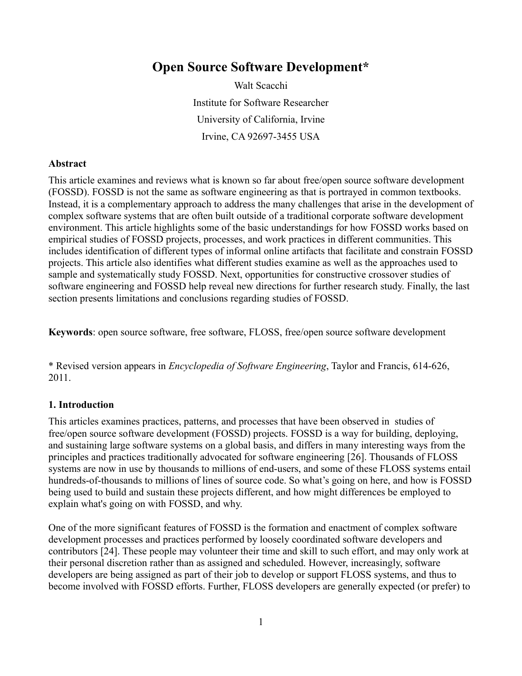# **Open Source Software Development\***

Walt Scacchi Institute for Software Researcher University of California, Irvine Irvine, CA 92697-3455 USA

### **Abstract**

This article examines and reviews what is known so far about free/open source software development (FOSSD). FOSSD is not the same as software engineering as that is portrayed in common textbooks. Instead, it is a complementary approach to address the many challenges that arise in the development of complex software systems that are often built outside of a traditional corporate software development environment. This article highlights some of the basic understandings for how FOSSD works based on empirical studies of FOSSD projects, processes, and work practices in different communities. This includes identification of different types of informal online artifacts that facilitate and constrain FOSSD projects. This article also identifies what different studies examine as well as the approaches used to sample and systematically study FOSSD. Next, opportunities for constructive crossover studies of software engineering and FOSSD help reveal new directions for further research study. Finally, the last section presents limitations and conclusions regarding studies of FOSSD.

**Keywords**: open source software, free software, FLOSS, free/open source software development

\* Revised version appears in *Encyclopedia of Software Engineering*, Taylor and Francis, 614-626, 2011.

### **1. Introduction**

This articles examines practices, patterns, and processes that have been observed in studies of free/open source software development (FOSSD) projects. FOSSD is a way for building, deploying, and sustaining large software systems on a global basis, and differs in many interesting ways from the principles and practices traditionally advocated for software engineering [26]. Thousands of FLOSS systems are now in use by thousands to millions of end-users, and some of these FLOSS systems entail hundreds-of-thousands to millions of lines of source code. So what's going on here, and how is FOSSD being used to build and sustain these projects different, and how might differences be employed to explain what's going on with FOSSD, and why.

One of the more significant features of FOSSD is the formation and enactment of complex software development processes and practices performed by loosely coordinated software developers and contributors [24]. These people may volunteer their time and skill to such effort, and may only work at their personal discretion rather than as assigned and scheduled. However, increasingly, software developers are being assigned as part of their job to develop or support FLOSS systems, and thus to become involved with FOSSD efforts. Further, FLOSS developers are generally expected (or prefer) to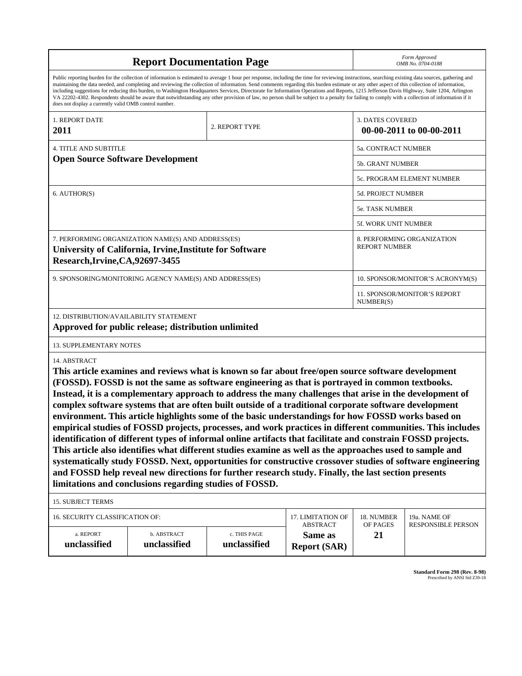| <b>Report Documentation Page</b>                                                                                                                                                                                                                                                                                                                                                                                                                                                                                                                                                                                                                                                                                                                                                                                                                                                                                                                                                                                                                                                                                                                                           |                                                                                                                |                                           |                                                    |                                  | Form Approved<br>OMB No. 0704-0188        |  |  |  |
|----------------------------------------------------------------------------------------------------------------------------------------------------------------------------------------------------------------------------------------------------------------------------------------------------------------------------------------------------------------------------------------------------------------------------------------------------------------------------------------------------------------------------------------------------------------------------------------------------------------------------------------------------------------------------------------------------------------------------------------------------------------------------------------------------------------------------------------------------------------------------------------------------------------------------------------------------------------------------------------------------------------------------------------------------------------------------------------------------------------------------------------------------------------------------|----------------------------------------------------------------------------------------------------------------|-------------------------------------------|----------------------------------------------------|----------------------------------|-------------------------------------------|--|--|--|
| Public reporting burden for the collection of information is estimated to average 1 hour per response, including the time for reviewing instructions, searching existing data sources, gathering and<br>maintaining the data needed, and completing and reviewing the collection of information. Send comments regarding this burden estimate or any other aspect of this collection of information,<br>including suggestions for reducing this burden, to Washington Headquarters Services, Directorate for Information Operations and Reports, 1215 Jefferson Davis Highway, Suite 1204, Arlington<br>VA 22202-4302. Respondents should be aware that notwithstanding any other provision of law, no person shall be subject to a penalty for failing to comply with a collection of information if it<br>does not display a currently valid OMB control number.                                                                                                                                                                                                                                                                                                         |                                                                                                                |                                           |                                                    |                                  |                                           |  |  |  |
| 1. REPORT DATE<br>2011                                                                                                                                                                                                                                                                                                                                                                                                                                                                                                                                                                                                                                                                                                                                                                                                                                                                                                                                                                                                                                                                                                                                                     |                                                                                                                | 2. REPORT TYPE                            |                                                    | 3. DATES COVERED                 | 00-00-2011 to 00-00-2011                  |  |  |  |
| <b>4. TITLE AND SUBTITLE</b>                                                                                                                                                                                                                                                                                                                                                                                                                                                                                                                                                                                                                                                                                                                                                                                                                                                                                                                                                                                                                                                                                                                                               |                                                                                                                | 5a. CONTRACT NUMBER                       |                                                    |                                  |                                           |  |  |  |
| <b>Open Source Software Development</b>                                                                                                                                                                                                                                                                                                                                                                                                                                                                                                                                                                                                                                                                                                                                                                                                                                                                                                                                                                                                                                                                                                                                    |                                                                                                                |                                           |                                                    | 5b. GRANT NUMBER                 |                                           |  |  |  |
|                                                                                                                                                                                                                                                                                                                                                                                                                                                                                                                                                                                                                                                                                                                                                                                                                                                                                                                                                                                                                                                                                                                                                                            |                                                                                                                | 5c. PROGRAM ELEMENT NUMBER                |                                                    |                                  |                                           |  |  |  |
| 6. AUTHOR(S)                                                                                                                                                                                                                                                                                                                                                                                                                                                                                                                                                                                                                                                                                                                                                                                                                                                                                                                                                                                                                                                                                                                                                               |                                                                                                                |                                           |                                                    | 5d. PROJECT NUMBER               |                                           |  |  |  |
|                                                                                                                                                                                                                                                                                                                                                                                                                                                                                                                                                                                                                                                                                                                                                                                                                                                                                                                                                                                                                                                                                                                                                                            |                                                                                                                |                                           | <b>5e. TASK NUMBER</b>                             |                                  |                                           |  |  |  |
|                                                                                                                                                                                                                                                                                                                                                                                                                                                                                                                                                                                                                                                                                                                                                                                                                                                                                                                                                                                                                                                                                                                                                                            |                                                                                                                |                                           |                                                    | 5f. WORK UNIT NUMBER             |                                           |  |  |  |
| Research, Irvine, CA, 92697-3455                                                                                                                                                                                                                                                                                                                                                                                                                                                                                                                                                                                                                                                                                                                                                                                                                                                                                                                                                                                                                                                                                                                                           | 7. PERFORMING ORGANIZATION NAME(S) AND ADDRESS(ES)<br>University of California, Irvine, Institute for Software |                                           | 8. PERFORMING ORGANIZATION<br><b>REPORT NUMBER</b> |                                  |                                           |  |  |  |
| 9. SPONSORING/MONITORING AGENCY NAME(S) AND ADDRESS(ES)                                                                                                                                                                                                                                                                                                                                                                                                                                                                                                                                                                                                                                                                                                                                                                                                                                                                                                                                                                                                                                                                                                                    |                                                                                                                |                                           |                                                    | 10. SPONSOR/MONITOR'S ACRONYM(S) |                                           |  |  |  |
|                                                                                                                                                                                                                                                                                                                                                                                                                                                                                                                                                                                                                                                                                                                                                                                                                                                                                                                                                                                                                                                                                                                                                                            |                                                                                                                | 11. SPONSOR/MONITOR'S REPORT<br>NUMBER(S) |                                                    |                                  |                                           |  |  |  |
| 12. DISTRIBUTION/AVAILABILITY STATEMENT<br>Approved for public release; distribution unlimited                                                                                                                                                                                                                                                                                                                                                                                                                                                                                                                                                                                                                                                                                                                                                                                                                                                                                                                                                                                                                                                                             |                                                                                                                |                                           |                                                    |                                  |                                           |  |  |  |
| <b>13. SUPPLEMENTARY NOTES</b>                                                                                                                                                                                                                                                                                                                                                                                                                                                                                                                                                                                                                                                                                                                                                                                                                                                                                                                                                                                                                                                                                                                                             |                                                                                                                |                                           |                                                    |                                  |                                           |  |  |  |
| 14. ABSTRACT<br>This article examines and reviews what is known so far about free/open source software development<br>(FOSSD). FOSSD is not the same as software engineering as that is portrayed in common textbooks.<br>Instead, it is a complementary approach to address the many challenges that arise in the development of<br>complex software systems that are often built outside of a traditional corporate software development<br>environment. This article highlights some of the basic understandings for how FOSSD works based on<br>empirical studies of FOSSD projects, processes, and work practices in different communities. This includes<br>identification of different types of informal online artifacts that facilitate and constrain FOSSD projects.<br>This article also identifies what different studies examine as well as the approaches used to sample and<br>systematically study FOSSD. Next, opportunities for constructive crossover studies of software engineering<br>and FOSSD help reveal new directions for further research study. Finally, the last section presents<br>limitations and conclusions regarding studies of FOSSD. |                                                                                                                |                                           |                                                    |                                  |                                           |  |  |  |
| <b>15. SUBJECT TERMS</b>                                                                                                                                                                                                                                                                                                                                                                                                                                                                                                                                                                                                                                                                                                                                                                                                                                                                                                                                                                                                                                                                                                                                                   |                                                                                                                |                                           |                                                    |                                  |                                           |  |  |  |
| 16. SECURITY CLASSIFICATION OF:                                                                                                                                                                                                                                                                                                                                                                                                                                                                                                                                                                                                                                                                                                                                                                                                                                                                                                                                                                                                                                                                                                                                            |                                                                                                                |                                           | 17. LIMITATION OF<br><b>ABSTRACT</b>               | 18. NUMBER<br>OF PAGES           | 19a. NAME OF<br><b>RESPONSIBLE PERSON</b> |  |  |  |
| a. REPORT<br>unclassified                                                                                                                                                                                                                                                                                                                                                                                                                                                                                                                                                                                                                                                                                                                                                                                                                                                                                                                                                                                                                                                                                                                                                  | b. ABSTRACT<br>unclassified                                                                                    | c. THIS PAGE<br>unclassified              | Same as<br><b>Report (SAR)</b>                     | 21                               |                                           |  |  |  |

**Standard Form 298 (Rev. 8-98)**<br>Prescribed by ANSI Std Z39-18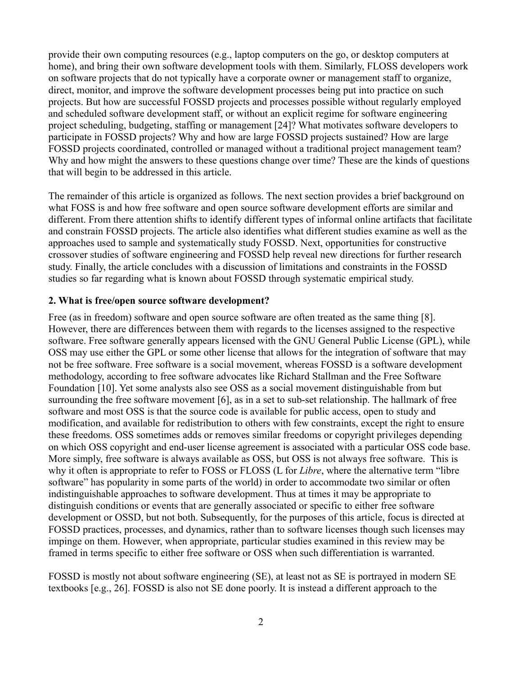provide their own computing resources (e.g., laptop computers on the go, or desktop computers at home), and bring their own software development tools with them. Similarly, FLOSS developers work on software projects that do not typically have a corporate owner or management staff to organize, direct, monitor, and improve the software development processes being put into practice on such projects. But how are successful FOSSD projects and processes possible without regularly employed and scheduled software development staff, or without an explicit regime for software engineering project scheduling, budgeting, staffing or management [24]? What motivates software developers to participate in FOSSD projects? Why and how are large FOSSD projects sustained? How are large FOSSD projects coordinated, controlled or managed without a traditional project management team? Why and how might the answers to these questions change over time? These are the kinds of questions that will begin to be addressed in this article.

The remainder of this article is organized as follows. The next section provides a brief background on what FOSS is and how free software and open source software development efforts are similar and different. From there attention shifts to identify different types of informal online artifacts that facilitate and constrain FOSSD projects. The article also identifies what different studies examine as well as the approaches used to sample and systematically study FOSSD. Next, opportunities for constructive crossover studies of software engineering and FOSSD help reveal new directions for further research study. Finally, the article concludes with a discussion of limitations and constraints in the FOSSD studies so far regarding what is known about FOSSD through systematic empirical study.

### **2. What is free/open source software development?**

Free (as in freedom) software and open source software are often treated as the same thing [8]. However, there are differences between them with regards to the licenses assigned to the respective software. Free software generally appears licensed with the GNU General Public License (GPL), while OSS may use either the GPL or some other license that allows for the integration of software that may not be free software. Free software is a social movement, whereas FOSSD is a software development methodology, according to free software advocates like Richard Stallman and the Free Software Foundation [10]. Yet some analysts also see OSS as a social movement distinguishable from but surrounding the free software movement [6], as in a set to sub-set relationship. The hallmark of free software and most OSS is that the source code is available for public access, open to study and modification, and available for redistribution to others with few constraints, except the right to ensure these freedoms. OSS sometimes adds or removes similar freedoms or copyright privileges depending on which OSS copyright and end-user license agreement is associated with a particular OSS code base. More simply, free software is always available as OSS, but OSS is not always free software. This is why it often is appropriate to refer to FOSS or FLOSS (L for *Libre*, where the alternative term "libre software" has popularity in some parts of the world) in order to accommodate two similar or often indistinguishable approaches to software development. Thus at times it may be appropriate to distinguish conditions or events that are generally associated or specific to either free software development or OSSD, but not both. Subsequently, for the purposes of this article, focus is directed at FOSSD practices, processes, and dynamics, rather than to software licenses though such licenses may impinge on them. However, when appropriate, particular studies examined in this review may be framed in terms specific to either free software or OSS when such differentiation is warranted.

FOSSD is mostly not about software engineering (SE), at least not as SE is portrayed in modern SE textbooks [e.g., 26]. FOSSD is also not SE done poorly. It is instead a different approach to the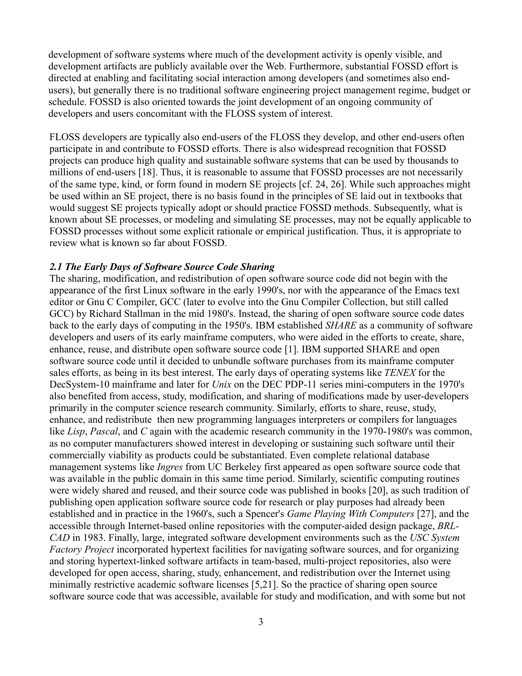development of software systems where much of the development activity is openly visible, and development artifacts are publicly available over the Web. Furthermore, substantial FOSSD effort is directed at enabling and facilitating social interaction among developers (and sometimes also endusers), but generally there is no traditional software engineering project management regime, budget or schedule. FOSSD is also oriented towards the joint development of an ongoing community of developers and users concomitant with the FLOSS system of interest.

FLOSS developers are typically also end-users of the FLOSS they develop, and other end-users often participate in and contribute to FOSSD efforts. There is also widespread recognition that FOSSD projects can produce high quality and sustainable software systems that can be used by thousands to millions of end-users [18]. Thus, it is reasonable to assume that FOSSD processes are not necessarily of the same type, kind, or form found in modern SE projects [cf. 24, 26]. While such approaches might be used within an SE project, there is no basis found in the principles of SE laid out in textbooks that would suggest SE projects typically adopt or should practice FOSSD methods. Subsequently, what is known about SE processes, or modeling and simulating SE processes, may not be equally applicable to FOSSD processes without some explicit rationale or empirical justification. Thus, it is appropriate to review what is known so far about FOSSD.

#### *2.1 The Early Days of Software Source Code Sharing*

The sharing, modification, and redistribution of open software source code did not begin with the appearance of the first Linux software in the early 1990's, nor with the appearance of the Emacs text editor or Gnu C Compiler, GCC (later to evolve into the Gnu Compiler Collection, but still called GCC) by Richard Stallman in the mid 1980's. Instead, the sharing of open software source code dates back to the early days of computing in the 1950's. IBM established *SHARE* as a community of software developers and users of its early mainframe computers, who were aided in the efforts to create, share, enhance, reuse, and distribute open software source code [1]. IBM supported SHARE and open software source code until it decided to unbundle software purchases from its mainframe computer sales efforts, as being in its best interest. The early days of operating systems like *TENEX* for the DecSystem-10 mainframe and later for *Unix* on the DEC PDP-11 series mini-computers in the 1970's also benefited from access, study, modification, and sharing of modifications made by user-developers primarily in the computer science research community. Similarly, efforts to share, reuse, study, enhance, and redistribute then new programming languages interpreters or compilers for languages like *Lisp*, *Pascal*, and *C* again with the academic research community in the 1970-1980's was common, as no computer manufacturers showed interest in developing or sustaining such software until their commercially viability as products could be substantiated. Even complete relational database management systems like *Ingres* from UC Berkeley first appeared as open software source code that was available in the public domain in this same time period. Similarly, scientific computing routines were widely shared and reused, and their source code was published in books [20], as such tradition of publishing open application software source code for research or play purposes had already been established and in practice in the 1960's, such a Spencer's *Game Playing With Computers* [27], and the accessible through Internet-based online repositories with the computer-aided design package, *BRL-CAD* in 1983. Finally, large, integrated software development environments such as the *USC System Factory Project* incorporated hypertext facilities for navigating software sources, and for organizing and storing hypertext-linked software artifacts in team-based, multi-project repositories, also were developed for open access, sharing, study, enhancement, and redistribution over the Internet using minimally restrictive academic software licenses [5,21]. So the practice of sharing open source software source code that was accessible, available for study and modification, and with some but not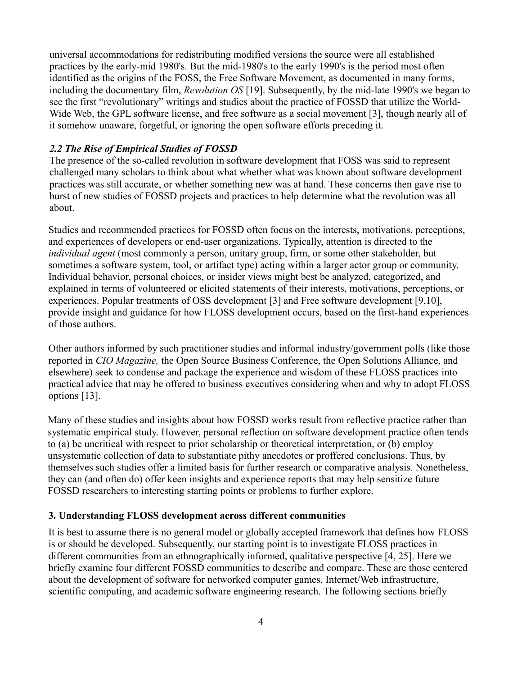universal accommodations for redistributing modified versions the source were all established practices by the early-mid 1980's. But the mid-1980's to the early 1990's is the period most often identified as the origins of the FOSS, the Free Software Movement, as documented in many forms, including the documentary film, *Revolution OS* [19]. Subsequently, by the mid-late 1990's we began to see the first "revolutionary" writings and studies about the practice of FOSSD that utilize the World-Wide Web, the GPL software license, and free software as a social movement [3], though nearly all of it somehow unaware, forgetful, or ignoring the open software efforts preceding it.

### *2.2 The Rise of Empirical Studies of FOSSD*

The presence of the so-called revolution in software development that FOSS was said to represent challenged many scholars to think about what whether what was known about software development practices was still accurate, or whether something new was at hand. These concerns then gave rise to burst of new studies of FOSSD projects and practices to help determine what the revolution was all about.

Studies and recommended practices for FOSSD often focus on the interests, motivations, perceptions, and experiences of developers or end-user organizations. Typically, attention is directed to the *individual agent* (most commonly a person, unitary group, firm, or some other stakeholder, but sometimes a software system, tool, or artifact type) acting within a larger actor group or community. Individual behavior, personal choices, or insider views might best be analyzed, categorized, and explained in terms of volunteered or elicited statements of their interests, motivations, perceptions, or experiences. Popular treatments of OSS development [3] and Free software development [9,10], provide insight and guidance for how FLOSS development occurs, based on the first-hand experiences of those authors.

Other authors informed by such practitioner studies and informal industry/government polls (like those reported in *CIO Magazine,* the Open Source Business Conference, the Open Solutions Alliance, and elsewhere) seek to condense and package the experience and wisdom of these FLOSS practices into practical advice that may be offered to business executives considering when and why to adopt FLOSS options [13].

Many of these studies and insights about how FOSSD works result from reflective practice rather than systematic empirical study. However, personal reflection on software development practice often tends to (a) be uncritical with respect to prior scholarship or theoretical interpretation, or (b) employ unsystematic collection of data to substantiate pithy anecdotes or proffered conclusions. Thus, by themselves such studies offer a limited basis for further research or comparative analysis. Nonetheless, they can (and often do) offer keen insights and experience reports that may help sensitize future FOSSD researchers to interesting starting points or problems to further explore.

### **3. Understanding FLOSS development across different communities**

It is best to assume there is no general model or globally accepted framework that defines how FLOSS is or should be developed. Subsequently, our starting point is to investigate FLOSS practices in different communities from an ethnographically informed, qualitative perspective [4, 25]. Here we briefly examine four different FOSSD communities to describe and compare. These are those centered about the development of software for networked computer games, Internet/Web infrastructure, scientific computing, and academic software engineering research. The following sections briefly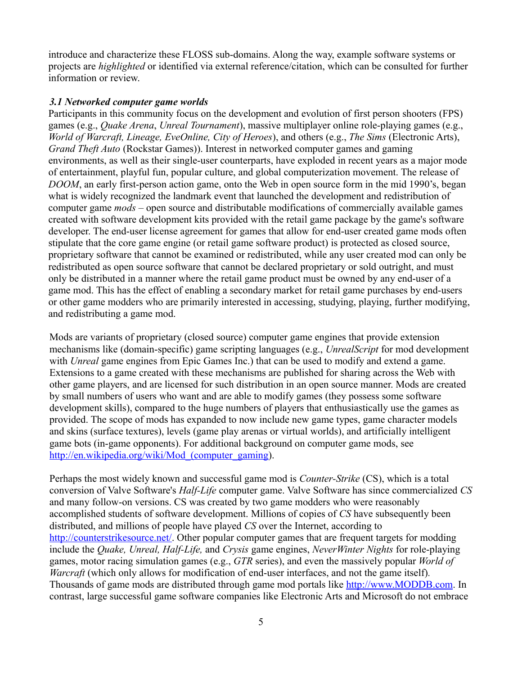introduce and characterize these FLOSS sub-domains. Along the way, example software systems or projects are *highlighted* or identified via external reference/citation, which can be consulted for further information or review.

#### *3.1 Networked computer game worlds*

Participants in this community focus on the development and evolution of first person shooters (FPS) games (e.g., *Quake Arena*, *Unreal Tournament*), massive multiplayer online role-playing games (e.g., *World of Warcraft, Lineage, EveOnline, City of Heroes*), and others (e.g., *The Sims* (Electronic Arts), *Grand Theft Auto* (Rockstar Games)). Interest in networked computer games and gaming environments, as well as their single-user counterparts, have exploded in recent years as a major mode of entertainment, playful fun, popular culture, and global computerization movement. The release of *DOOM*, an early first-person action game, onto the Web in open source form in the mid 1990's, began what is widely recognized the landmark event that launched the development and redistribution of computer game *mods* – open source and distributable modifications of commercially available games created with software development kits provided with the retail game package by the game's software developer. The end-user license agreement for games that allow for end-user created game mods often stipulate that the core game engine (or retail game software product) is protected as closed source, proprietary software that cannot be examined or redistributed, while any user created mod can only be redistributed as open source software that cannot be declared proprietary or sold outright, and must only be distributed in a manner where the retail game product must be owned by any end-user of a game mod. This has the effect of enabling a secondary market for retail game purchases by end-users or other game modders who are primarily interested in accessing, studying, playing, further modifying, and redistributing a game mod.

Mods are variants of proprietary (closed source) computer game engines that provide extension mechanisms like (domain-specific) game scripting languages (e.g., *UnrealScript* for mod development with *Unreal* game engines from Epic Games Inc.) that can be used to modify and extend a game. Extensions to a game created with these mechanisms are published for sharing across the Web with other game players, and are licensed for such distribution in an open source manner. Mods are created by small numbers of users who want and are able to modify games (they possess some software development skills), compared to the huge numbers of players that enthusiastically use the games as provided. The scope of mods has expanded to now include new game types, game character models and skins (surface textures), levels (game play arenas or virtual worlds), and artificially intelligent game bots (in-game opponents). For additional background on computer game mods, see http://en.wikipedia.org/wiki/Mod (computer gaming).

Perhaps the most widely known and successful game mod is *Counter-Strike* (CS), which is a total conversion of Valve Software's *Half-Life* computer game. Valve Software has since commercialized *CS* and many follow-on versions. CS was created by two game modders who were reasonably accomplished students of software development. Millions of copies of *CS* have subsequently been distributed, and millions of people have played *CS* over the Internet, according to http://counterstrikesource.net/. Other popular computer games that are frequent targets for modding include the *Quake, Unreal, Half-Life,* and *Crysis* game engines, *NeverWinter Nights* for role-playing games, motor racing simulation games (e.g., *GTR* series), and even the massively popular *World of Warcraft* (which only allows for modification of end-user interfaces, and not the game itself). Thousands of game mods are distributed through game mod portals like http://www.MODDB.com. In contrast, large successful game software companies like Electronic Arts and Microsoft do not embrace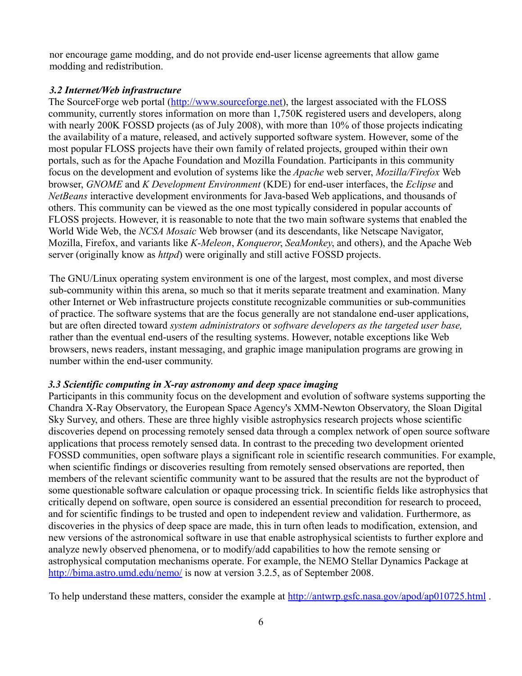nor encourage game modding, and do not provide end-user license agreements that allow game modding and redistribution.

### *3.2 Internet/Web infrastructure*

The SourceForge web portal (http://www.sourceforge.net), the largest associated with the FLOSS community, currently stores information on more than 1,750K registered users and developers, along with nearly 200K FOSSD projects (as of July 2008), with more than 10% of those projects indicating the availability of a mature, released, and actively supported software system. However, some of the most popular FLOSS projects have their own family of related projects, grouped within their own portals, such as for the Apache Foundation and Mozilla Foundation. Participants in this community focus on the development and evolution of systems like the *Apache* web server, *Mozilla/Firefox* Web browser, *GNOME* and *K Development Environment* (KDE) for end-user interfaces, the *Eclipse* and *NetBeans* interactive development environments for Java-based Web applications, and thousands of others. This community can be viewed as the one most typically considered in popular accounts of FLOSS projects. However, it is reasonable to note that the two main software systems that enabled the World Wide Web, the *NCSA Mosaic* Web browser (and its descendants, like Netscape Navigator, Mozilla, Firefox, and variants like *K-Meleon*, *Konqueror*, *SeaMonkey*, and others), and the Apache Web server (originally know as *httpd*) were originally and still active FOSSD projects.

The GNU/Linux operating system environment is one of the largest, most complex, and most diverse sub-community within this arena, so much so that it merits separate treatment and examination. Many other Internet or Web infrastructure projects constitute recognizable communities or sub-communities of practice. The software systems that are the focus generally are not standalone end-user applications, but are often directed toward *system administrators* or *software developers as the targeted user base,* rather than the eventual end-users of the resulting systems. However, notable exceptions like Web browsers, news readers, instant messaging, and graphic image manipulation programs are growing in number within the end-user community.

### *3.3 Scientific computing in X-ray astronomy and deep space imaging*

Participants in this community focus on the development and evolution of software systems supporting the Chandra X-Ray Observatory, the European Space Agency's XMM-Newton Observatory, the Sloan Digital Sky Survey, and others. These are three highly visible astrophysics research projects whose scientific discoveries depend on processing remotely sensed data through a complex network of open source software applications that process remotely sensed data. In contrast to the preceding two development oriented FOSSD communities, open software plays a significant role in scientific research communities. For example, when scientific findings or discoveries resulting from remotely sensed observations are reported, then members of the relevant scientific community want to be assured that the results are not the byproduct of some questionable software calculation or opaque processing trick. In scientific fields like astrophysics that critically depend on software, open source is considered an essential precondition for research to proceed, and for scientific findings to be trusted and open to independent review and validation. Furthermore, as discoveries in the physics of deep space are made, this in turn often leads to modification, extension, and new versions of the astronomical software in use that enable astrophysical scientists to further explore and analyze newly observed phenomena, or to modify/add capabilities to how the remote sensing or astrophysical computation mechanisms operate. For example, the NEMO Stellar Dynamics Package at http://bima.astro.umd.edu/nemo/ is now at version 3.2.5, as of September 2008.

To help understand these matters, consider the example at http://antwrp.gsfc.nasa.gov/apod/ap010725.html.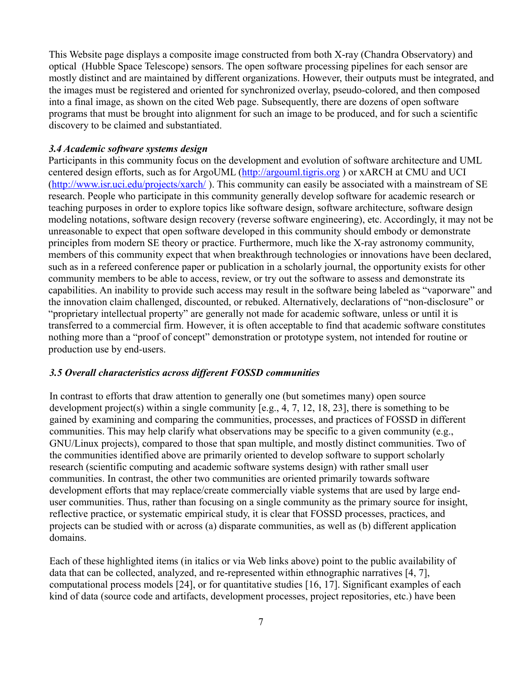This Website page displays a composite image constructed from both X-ray (Chandra Observatory) and optical (Hubble Space Telescope) sensors. The open software processing pipelines for each sensor are mostly distinct and are maintained by different organizations. However, their outputs must be integrated, and the images must be registered and oriented for synchronized overlay, pseudo-colored, and then composed into a final image, as shown on the cited Web page. Subsequently, there are dozens of open software programs that must be brought into alignment for such an image to be produced, and for such a scientific discovery to be claimed and substantiated.

#### *3.4 Academic software systems design*

Participants in this community focus on the development and evolution of software architecture and UML centered design efforts, such as for ArgoUML (http://argouml.tigris.org ) or xARCH at CMU and UCI (http://www.isr.uci.edu/projects/xarch/ ). This community can easily be associated with a mainstream of SE research. People who participate in this community generally develop software for academic research or teaching purposes in order to explore topics like software design, software architecture, software design modeling notations, software design recovery (reverse software engineering), etc. Accordingly, it may not be unreasonable to expect that open software developed in this community should embody or demonstrate principles from modern SE theory or practice. Furthermore, much like the X-ray astronomy community, members of this community expect that when breakthrough technologies or innovations have been declared, such as in a refereed conference paper or publication in a scholarly journal, the opportunity exists for other community members to be able to access, review, or try out the software to assess and demonstrate its capabilities. An inability to provide such access may result in the software being labeled as "vaporware" and the innovation claim challenged, discounted, or rebuked. Alternatively, declarations of "non-disclosure" or "proprietary intellectual property" are generally not made for academic software, unless or until it is transferred to a commercial firm. However, it is often acceptable to find that academic software constitutes nothing more than a "proof of concept" demonstration or prototype system, not intended for routine or production use by end-users.

#### *3.5 Overall characteristics across different FOSSD communities*

In contrast to efforts that draw attention to generally one (but sometimes many) open source development project(s) within a single community [e.g., 4, 7, 12, 18, 23], there is something to be gained by examining and comparing the communities, processes, and practices of FOSSD in different communities. This may help clarify what observations may be specific to a given community (e.g., GNU/Linux projects), compared to those that span multiple, and mostly distinct communities. Two of the communities identified above are primarily oriented to develop software to support scholarly research (scientific computing and academic software systems design) with rather small user communities. In contrast, the other two communities are oriented primarily towards software development efforts that may replace/create commercially viable systems that are used by large enduser communities. Thus, rather than focusing on a single community as the primary source for insight, reflective practice, or systematic empirical study, it is clear that FOSSD processes, practices, and projects can be studied with or across (a) disparate communities, as well as (b) different application domains.

Each of these highlighted items (in italics or via Web links above) point to the public availability of data that can be collected, analyzed, and re-represented within ethnographic narratives [4, 7], computational process models [24], or for quantitative studies [16, 17]. Significant examples of each kind of data (source code and artifacts, development processes, project repositories, etc.) have been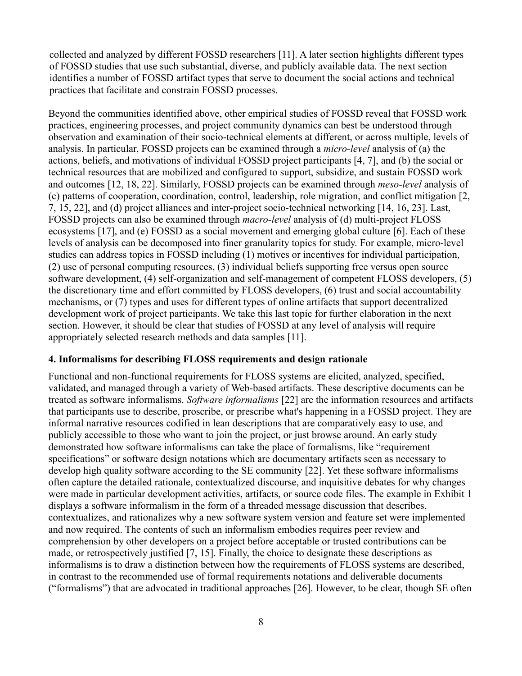collected and analyzed by different FOSSD researchers [11]. A later section highlights different types of FOSSD studies that use such substantial, diverse, and publicly available data. The next section identifies a number of FOSSD artifact types that serve to document the social actions and technical practices that facilitate and constrain FOSSD processes.

Beyond the communities identified above, other empirical studies of FOSSD reveal that FOSSD work practices, engineering processes, and project community dynamics can best be understood through observation and examination of their socio-technical elements at different, or across multiple, levels of analysis. In particular, FOSSD projects can be examined through a *micro-level* analysis of (a) the actions, beliefs, and motivations of individual FOSSD project participants [4, 7], and (b) the social or technical resources that are mobilized and configured to support, subsidize, and sustain FOSSD work and outcomes [12, 18, 22]. Similarly, FOSSD projects can be examined through *meso-level* analysis of (c) patterns of cooperation, coordination, control, leadership, role migration, and conflict mitigation [2, 7, 15, 22], and (d) project alliances and inter-project socio-technical networking [14, 16, 23]. Last, FOSSD projects can also be examined through *macro-level* analysis of (d) multi-project FLOSS ecosystems [17], and (e) FOSSD as a social movement and emerging global culture [6]. Each of these levels of analysis can be decomposed into finer granularity topics for study. For example, micro-level studies can address topics in FOSSD including (1) motives or incentives for individual participation, (2) use of personal computing resources, (3) individual beliefs supporting free versus open source software development, (4) self-organization and self-management of competent FLOSS developers, (5) the discretionary time and effort committed by FLOSS developers, (6) trust and social accountability mechanisms, or (7) types and uses for different types of online artifacts that support decentralized development work of project participants. We take this last topic for further elaboration in the next section. However, it should be clear that studies of FOSSD at any level of analysis will require appropriately selected research methods and data samples [11].

#### **4. Informalisms for describing FLOSS requirements and design rationale**

Functional and non-functional requirements for FLOSS systems are elicited, analyzed, specified, validated, and managed through a variety of Web-based artifacts. These descriptive documents can be treated as software informalisms. *Software informalisms* [22] are the information resources and artifacts that participants use to describe, proscribe, or prescribe what's happening in a FOSSD project. They are informal narrative resources codified in lean descriptions that are comparatively easy to use, and publicly accessible to those who want to join the project, or just browse around. An early study demonstrated how software informalisms can take the place of formalisms, like "requirement specifications" or software design notations which are documentary artifacts seen as necessary to develop high quality software according to the SE community [22]. Yet these software informalisms often capture the detailed rationale, contextualized discourse, and inquisitive debates for why changes were made in particular development activities, artifacts, or source code files. The example in Exhibit 1 displays a software informalism in the form of a threaded message discussion that describes, contextualizes, and rationalizes why a new software system version and feature set were implemented and now required. The contents of such an informalism embodies requires peer review and comprehension by other developers on a project before acceptable or trusted contributions can be made, or retrospectively justified [7, 15]. Finally, the choice to designate these descriptions as informalisms is to draw a distinction between how the requirements of FLOSS systems are described, in contrast to the recommended use of formal requirements notations and deliverable documents ("formalisms") that are advocated in traditional approaches [26]. However, to be clear, though SE often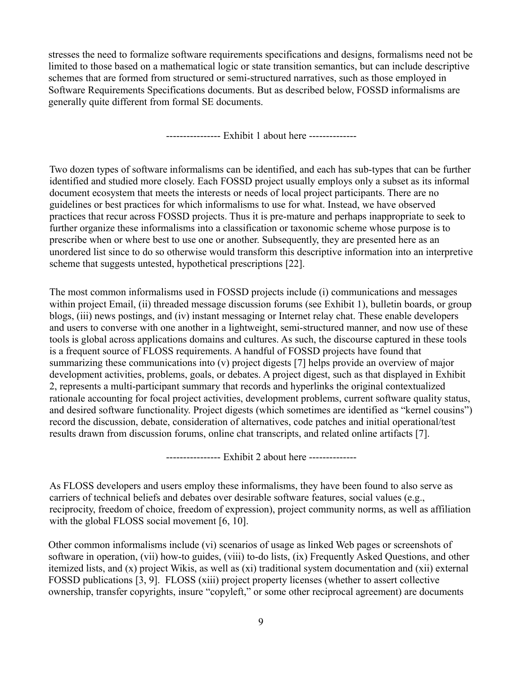stresses the need to formalize software requirements specifications and designs, formalisms need not be limited to those based on a mathematical logic or state transition semantics, but can include descriptive schemes that are formed from structured or semi-structured narratives, such as those employed in Software Requirements Specifications documents. But as described below, FOSSD informalisms are generally quite different from formal SE documents.

---------------- Exhibit 1 about here --------------

Two dozen types of software informalisms can be identified, and each has sub-types that can be further identified and studied more closely. Each FOSSD project usually employs only a subset as its informal document ecosystem that meets the interests or needs of local project participants. There are no guidelines or best practices for which informalisms to use for what. Instead, we have observed practices that recur across FOSSD projects. Thus it is pre-mature and perhaps inappropriate to seek to further organize these informalisms into a classification or taxonomic scheme whose purpose is to prescribe when or where best to use one or another. Subsequently, they are presented here as an unordered list since to do so otherwise would transform this descriptive information into an interpretive scheme that suggests untested, hypothetical prescriptions [22].

The most common informalisms used in FOSSD projects include (i) communications and messages within project Email, (ii) threaded message discussion forums (see Exhibit 1), bulletin boards, or group blogs, (iii) news postings, and (iv) instant messaging or Internet relay chat. These enable developers and users to converse with one another in a lightweight, semi-structured manner, and now use of these tools is global across applications domains and cultures. As such, the discourse captured in these tools is a frequent source of FLOSS requirements. A handful of FOSSD projects have found that summarizing these communications into (v) project digests [7] helps provide an overview of major development activities, problems, goals, or debates. A project digest, such as that displayed in Exhibit 2, represents a multi-participant summary that records and hyperlinks the original contextualized rationale accounting for focal project activities, development problems, current software quality status, and desired software functionality. Project digests (which sometimes are identified as "kernel cousins") record the discussion, debate, consideration of alternatives, code patches and initial operational/test results drawn from discussion forums, online chat transcripts, and related online artifacts [7].

---------------- Exhibit 2 about here --------------

As FLOSS developers and users employ these informalisms, they have been found to also serve as carriers of technical beliefs and debates over desirable software features, social values (e.g., reciprocity, freedom of choice, freedom of expression), project community norms, as well as affiliation with the global FLOSS social movement [6, 10].

Other common informalisms include (vi) scenarios of usage as linked Web pages or screenshots of software in operation, (vii) how-to guides, (viii) to-do lists, (ix) Frequently Asked Questions, and other itemized lists, and (x) project Wikis, as well as (xi) traditional system documentation and (xii) external FOSSD publications [3, 9]. FLOSS (xiii) project property licenses (whether to assert collective ownership, transfer copyrights, insure "copyleft," or some other reciprocal agreement) are documents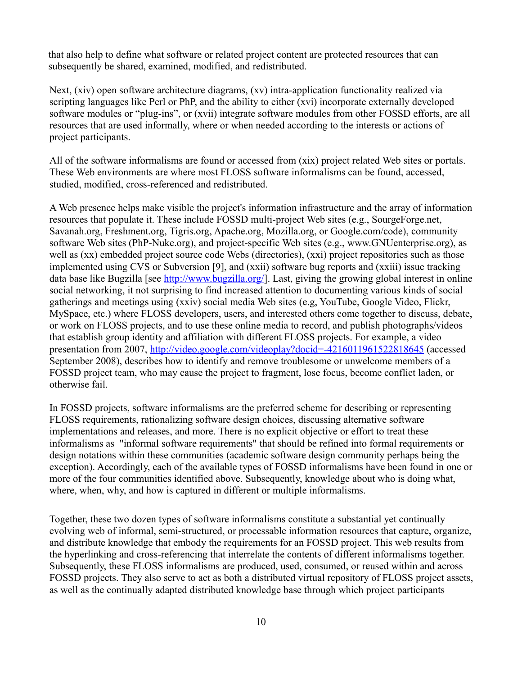that also help to define what software or related project content are protected resources that can subsequently be shared, examined, modified, and redistributed.

Next, (xiv) open software architecture diagrams, (xv) intra-application functionality realized via scripting languages like Perl or PhP, and the ability to either (xvi) incorporate externally developed software modules or "plug-ins", or (xvii) integrate software modules from other FOSSD efforts, are all resources that are used informally, where or when needed according to the interests or actions of project participants.

All of the software informalisms are found or accessed from (xix) project related Web sites or portals. These Web environments are where most FLOSS software informalisms can be found, accessed, studied, modified, cross-referenced and redistributed.

A Web presence helps make visible the project's information infrastructure and the array of information resources that populate it. These include FOSSD multi-project Web sites (e.g., SourgeForge.net, Savanah.org, Freshment.org, Tigris.org, Apache.org, Mozilla.org, or Google.com/code), community software Web sites (PhP-Nuke.org), and project-specific Web sites (e.g., www.GNUenterprise.org), as well as (xx) embedded project source code Webs (directories), (xxi) project repositories such as those implemented using CVS or Subversion [9], and (xxii) software bug reports and (xxiii) issue tracking data base like Bugzilla [see http://www.bugzilla.org/]. Last, giving the growing global interest in online social networking, it not surprising to find increased attention to documenting various kinds of social gatherings and meetings using (xxiv) social media Web sites (e.g, YouTube, Google Video, Flickr, MySpace, etc.) where FLOSS developers, users, and interested others come together to discuss, debate, or work on FLOSS projects, and to use these online media to record, and publish photographs/videos that establish group identity and affiliation with different FLOSS projects. For example, a video presentation from 2007, http://video.google.com/videoplay?docid=-4216011961522818645 (accessed September 2008), describes how to identify and remove troublesome or unwelcome members of a FOSSD project team, who may cause the project to fragment, lose focus, become conflict laden, or otherwise fail.

In FOSSD projects, software informalisms are the preferred scheme for describing or representing FLOSS requirements, rationalizing software design choices, discussing alternative software implementations and releases, and more. There is no explicit objective or effort to treat these informalisms as "informal software requirements" that should be refined into formal requirements or design notations within these communities (academic software design community perhaps being the exception). Accordingly, each of the available types of FOSSD informalisms have been found in one or more of the four communities identified above. Subsequently, knowledge about who is doing what, where, when, why, and how is captured in different or multiple informalisms.

Together, these two dozen types of software informalisms constitute a substantial yet continually evolving web of informal, semi-structured, or processable information resources that capture, organize, and distribute knowledge that embody the requirements for an FOSSD project. This web results from the hyperlinking and cross-referencing that interrelate the contents of different informalisms together. Subsequently, these FLOSS informalisms are produced, used, consumed, or reused within and across FOSSD projects. They also serve to act as both a distributed virtual repository of FLOSS project assets, as well as the continually adapted distributed knowledge base through which project participants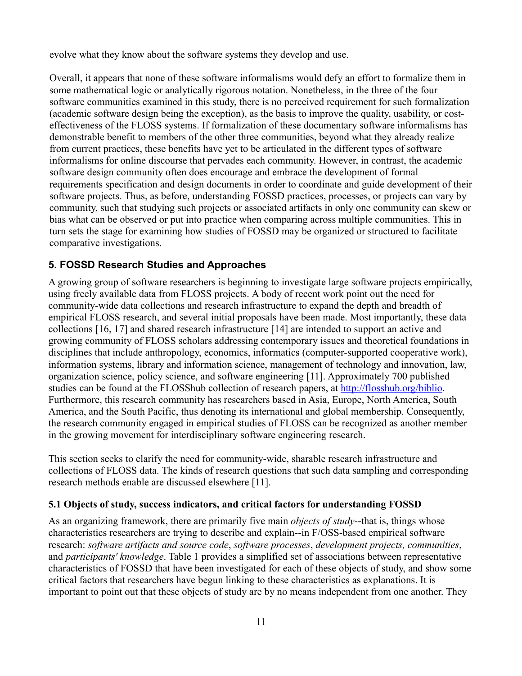evolve what they know about the software systems they develop and use.

Overall, it appears that none of these software informalisms would defy an effort to formalize them in some mathematical logic or analytically rigorous notation. Nonetheless, in the three of the four software communities examined in this study, there is no perceived requirement for such formalization (academic software design being the exception), as the basis to improve the quality, usability, or costeffectiveness of the FLOSS systems. If formalization of these documentary software informalisms has demonstrable benefit to members of the other three communities, beyond what they already realize from current practices, these benefits have yet to be articulated in the different types of software informalisms for online discourse that pervades each community. However, in contrast, the academic software design community often does encourage and embrace the development of formal requirements specification and design documents in order to coordinate and guide development of their software projects. Thus, as before, understanding FOSSD practices, processes, or projects can vary by community, such that studying such projects or associated artifacts in only one community can skew or bias what can be observed or put into practice when comparing across multiple communities. This in turn sets the stage for examining how studies of FOSSD may be organized or structured to facilitate comparative investigations.

## **5. FOSSD Research Studies and Approaches**

A growing group of software researchers is beginning to investigate large software projects empirically, using freely available data from FLOSS projects. A body of recent work point out the need for community-wide data collections and research infrastructure to expand the depth and breadth of empirical FLOSS research, and several initial proposals have been made. Most importantly, these data collections [16, 17] and shared research infrastructure [14] are intended to support an active and growing community of FLOSS scholars addressing contemporary issues and theoretical foundations in disciplines that include anthropology, economics, informatics (computer-supported cooperative work), information systems, library and information science, management of technology and innovation, law, organization science, policy science, and software engineering [11]. Approximately 700 published studies can be found at the FLOSShub collection of research papers, at http://flosshub.org/biblio. Furthermore, this research community has researchers based in Asia, Europe, North America, South America, and the South Pacific, thus denoting its international and global membership. Consequently, the research community engaged in empirical studies of FLOSS can be recognized as another member in the growing movement for interdisciplinary software engineering research.

This section seeks to clarify the need for community-wide, sharable research infrastructure and collections of FLOSS data. The kinds of research questions that such data sampling and corresponding research methods enable are discussed elsewhere [11].

### **5.1 Objects of study, success indicators, and critical factors for understanding FOSSD**

As an organizing framework, there are primarily five main *objects of study*--that is, things whose characteristics researchers are trying to describe and explain--in F/OSS-based empirical software research: *software artifacts and source code*, *software processes*, *development projects, communities*, and *participants' knowledge*. Table 1 provides a simplified set of associations between representative characteristics of FOSSD that have been investigated for each of these objects of study, and show some critical factors that researchers have begun linking to these characteristics as explanations. It is important to point out that these objects of study are by no means independent from one another. They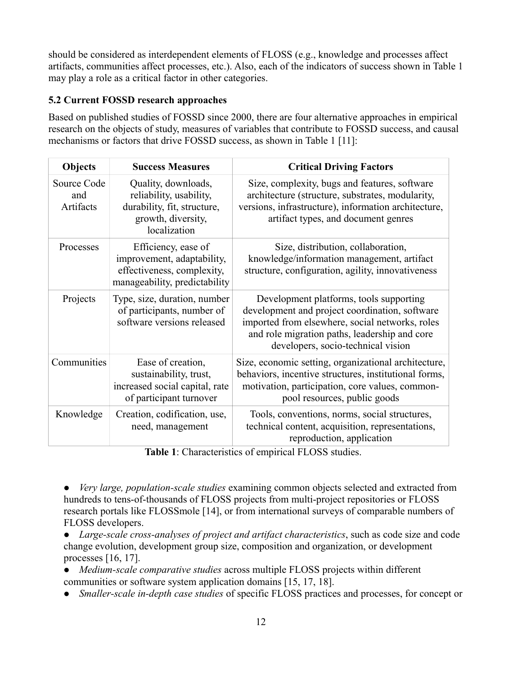should be considered as interdependent elements of FLOSS (e.g., knowledge and processes affect artifacts, communities affect processes, etc.). Also, each of the indicators of success shown in Table 1 may play a role as a critical factor in other categories.

### **5.2 Current FOSSD research approaches**

Based on published studies of FOSSD since 2000, there are four alternative approaches in empirical research on the objects of study, measures of variables that contribute to FOSSD success, and causal mechanisms or factors that drive FOSSD success, as shown in Table 1 [11]:

| <b>Objects</b>                                                                                                          | <b>Success Measures</b>                                                                                             | <b>Critical Driving Factors</b>                                                                                                                                                                                                     |  |  |
|-------------------------------------------------------------------------------------------------------------------------|---------------------------------------------------------------------------------------------------------------------|-------------------------------------------------------------------------------------------------------------------------------------------------------------------------------------------------------------------------------------|--|--|
| Source Code<br>and<br>Artifacts                                                                                         | Quality, downloads,<br>reliability, usability,<br>durability, fit, structure,<br>growth, diversity,<br>localization | Size, complexity, bugs and features, software<br>architecture (structure, substrates, modularity,<br>versions, infrastructure), information architecture,<br>artifact types, and document genres                                    |  |  |
| Processes                                                                                                               | Efficiency, ease of<br>improvement, adaptability,<br>effectiveness, complexity,<br>manageability, predictability    | Size, distribution, collaboration,<br>knowledge/information management, artifact<br>structure, configuration, agility, innovativeness                                                                                               |  |  |
| Projects                                                                                                                | Type, size, duration, number<br>of participants, number of<br>software versions released                            | Development platforms, tools supporting<br>development and project coordination, software<br>imported from elsewhere, social networks, roles<br>and role migration paths, leadership and core<br>developers, socio-technical vision |  |  |
| Communities<br>Ease of creation,<br>sustainability, trust,<br>increased social capital, rate<br>of participant turnover |                                                                                                                     | Size, economic setting, organizational architecture,<br>behaviors, incentive structures, institutional forms,<br>motivation, participation, core values, common-<br>pool resources, public goods                                    |  |  |
| Knowledge<br>Creation, codification, use,<br>need, management                                                           |                                                                                                                     | Tools, conventions, norms, social structures,<br>technical content, acquisition, representations,<br>reproduction, application                                                                                                      |  |  |

**Table 1**: Characteristics of empirical FLOSS studies.

 *Very large, population-scale studies* examining common objects selected and extracted from hundreds to tens-of-thousands of FLOSS projects from multi-project repositories or FLOSS research portals like FLOSSmole [14], or from international surveys of comparable numbers of FLOSS developers.

 *Large-scale cross-analyses of project and artifact characteristics*, such as code size and code change evolution, development group size, composition and organization, or development processes [16, 17].

 *Medium-scale comparative studies* across multiple FLOSS projects within different communities or software system application domains [15, 17, 18].

*Smaller-scale in-depth case studies* of specific FLOSS practices and processes, for concept or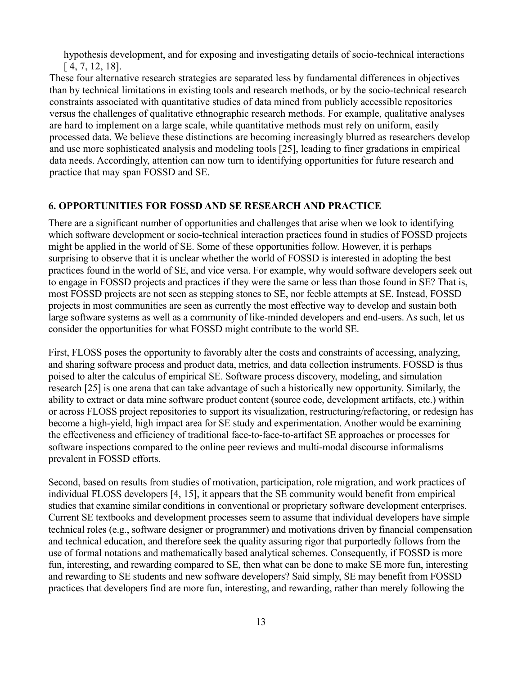hypothesis development, and for exposing and investigating details of socio-technical interactions [ 4, 7, 12, 18].

These four alternative research strategies are separated less by fundamental differences in objectives than by technical limitations in existing tools and research methods, or by the socio-technical research constraints associated with quantitative studies of data mined from publicly accessible repositories versus the challenges of qualitative ethnographic research methods. For example, qualitative analyses are hard to implement on a large scale, while quantitative methods must rely on uniform, easily processed data. We believe these distinctions are becoming increasingly blurred as researchers develop and use more sophisticated analysis and modeling tools [25], leading to finer gradations in empirical data needs. Accordingly, attention can now turn to identifying opportunities for future research and practice that may span FOSSD and SE.

#### **6. OPPORTUNITIES FOR FOSSD AND SE RESEARCH AND PRACTICE**

There are a significant number of opportunities and challenges that arise when we look to identifying which software development or socio-technical interaction practices found in studies of FOSSD projects might be applied in the world of SE. Some of these opportunities follow. However, it is perhaps surprising to observe that it is unclear whether the world of FOSSD is interested in adopting the best practices found in the world of SE, and vice versa. For example, why would software developers seek out to engage in FOSSD projects and practices if they were the same or less than those found in SE? That is, most FOSSD projects are not seen as stepping stones to SE, nor feeble attempts at SE. Instead, FOSSD projects in most communities are seen as currently the most effective way to develop and sustain both large software systems as well as a community of like-minded developers and end-users. As such, let us consider the opportunities for what FOSSD might contribute to the world SE.

First, FLOSS poses the opportunity to favorably alter the costs and constraints of accessing, analyzing, and sharing software process and product data, metrics, and data collection instruments. FOSSD is thus poised to alter the calculus of empirical SE. Software process discovery, modeling, and simulation research [25] is one arena that can take advantage of such a historically new opportunity. Similarly, the ability to extract or data mine software product content (source code, development artifacts, etc.) within or across FLOSS project repositories to support its visualization, restructuring/refactoring, or redesign has become a high-yield, high impact area for SE study and experimentation. Another would be examining the effectiveness and efficiency of traditional face-to-face-to-artifact SE approaches or processes for software inspections compared to the online peer reviews and multi-modal discourse informalisms prevalent in FOSSD efforts.

Second, based on results from studies of motivation, participation, role migration, and work practices of individual FLOSS developers [4, 15], it appears that the SE community would benefit from empirical studies that examine similar conditions in conventional or proprietary software development enterprises. Current SE textbooks and development processes seem to assume that individual developers have simple technical roles (e.g., software designer or programmer) and motivations driven by financial compensation and technical education, and therefore seek the quality assuring rigor that purportedly follows from the use of formal notations and mathematically based analytical schemes. Consequently, if FOSSD is more fun, interesting, and rewarding compared to SE, then what can be done to make SE more fun, interesting and rewarding to SE students and new software developers? Said simply, SE may benefit from FOSSD practices that developers find are more fun, interesting, and rewarding, rather than merely following the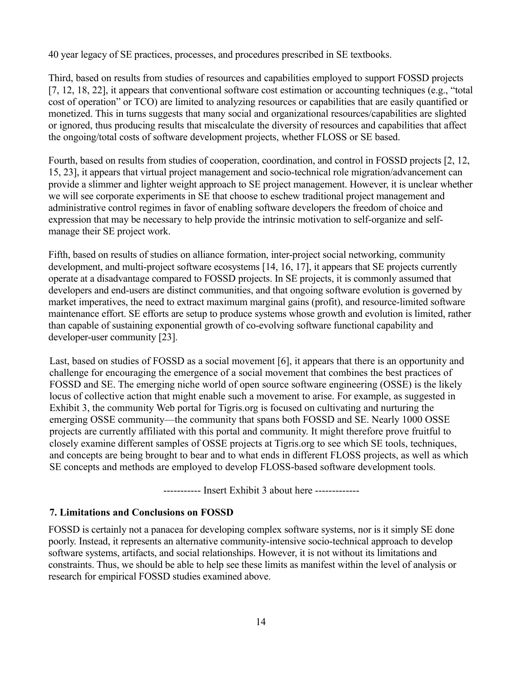40 year legacy of SE practices, processes, and procedures prescribed in SE textbooks.

Third, based on results from studies of resources and capabilities employed to support FOSSD projects [7, 12, 18, 22], it appears that conventional software cost estimation or accounting techniques (e.g., "total cost of operation" or TCO) are limited to analyzing resources or capabilities that are easily quantified or monetized. This in turns suggests that many social and organizational resources/capabilities are slighted or ignored, thus producing results that miscalculate the diversity of resources and capabilities that affect the ongoing/total costs of software development projects, whether FLOSS or SE based.

Fourth, based on results from studies of cooperation, coordination, and control in FOSSD projects [2, 12, 15, 23], it appears that virtual project management and socio-technical role migration/advancement can provide a slimmer and lighter weight approach to SE project management. However, it is unclear whether we will see corporate experiments in SE that choose to eschew traditional project management and administrative control regimes in favor of enabling software developers the freedom of choice and expression that may be necessary to help provide the intrinsic motivation to self-organize and selfmanage their SE project work.

Fifth, based on results of studies on alliance formation, inter-project social networking, community development, and multi-project software ecosystems [14, 16, 17], it appears that SE projects currently operate at a disadvantage compared to FOSSD projects. In SE projects, it is commonly assumed that developers and end-users are distinct communities, and that ongoing software evolution is governed by market imperatives, the need to extract maximum marginal gains (profit), and resource-limited software maintenance effort. SE efforts are setup to produce systems whose growth and evolution is limited, rather than capable of sustaining exponential growth of co-evolving software functional capability and developer-user community [23].

Last, based on studies of FOSSD as a social movement [6], it appears that there is an opportunity and challenge for encouraging the emergence of a social movement that combines the best practices of FOSSD and SE. The emerging niche world of open source software engineering (OSSE) is the likely locus of collective action that might enable such a movement to arise. For example, as suggested in Exhibit 3, the community Web portal for Tigris.org is focused on cultivating and nurturing the emerging OSSE community—the community that spans both FOSSD and SE. Nearly 1000 OSSE projects are currently affiliated with this portal and community. It might therefore prove fruitful to closely examine different samples of OSSE projects at Tigris.org to see which SE tools, techniques, and concepts are being brought to bear and to what ends in different FLOSS projects, as well as which SE concepts and methods are employed to develop FLOSS-based software development tools.

----------- Insert Exhibit 3 about here -------------

### **7. Limitations and Conclusions on FOSSD**

FOSSD is certainly not a panacea for developing complex software systems, nor is it simply SE done poorly. Instead, it represents an alternative community-intensive socio-technical approach to develop software systems, artifacts, and social relationships. However, it is not without its limitations and constraints. Thus, we should be able to help see these limits as manifest within the level of analysis or research for empirical FOSSD studies examined above.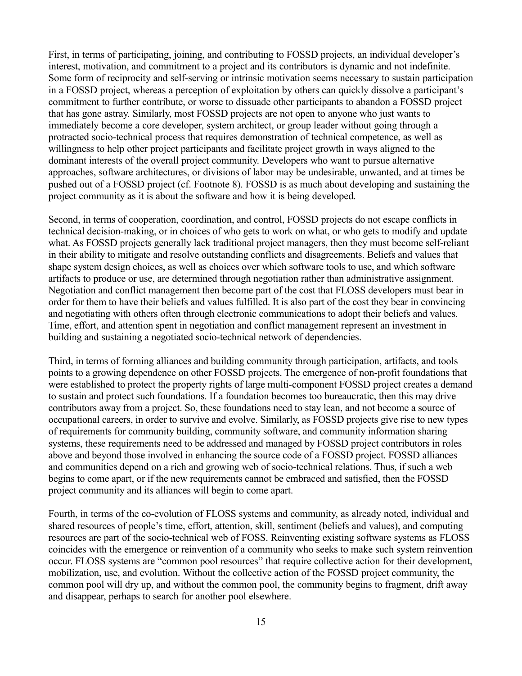First, in terms of participating, joining, and contributing to FOSSD projects, an individual developer's interest, motivation, and commitment to a project and its contributors is dynamic and not indefinite. Some form of reciprocity and self-serving or intrinsic motivation seems necessary to sustain participation in a FOSSD project, whereas a perception of exploitation by others can quickly dissolve a participant's commitment to further contribute, or worse to dissuade other participants to abandon a FOSSD project that has gone astray. Similarly, most FOSSD projects are not open to anyone who just wants to immediately become a core developer, system architect, or group leader without going through a protracted socio-technical process that requires demonstration of technical competence, as well as willingness to help other project participants and facilitate project growth in ways aligned to the dominant interests of the overall project community. Developers who want to pursue alternative approaches, software architectures, or divisions of labor may be undesirable, unwanted, and at times be pushed out of a FOSSD project (cf. Footnote 8). FOSSD is as much about developing and sustaining the project community as it is about the software and how it is being developed.

Second, in terms of cooperation, coordination, and control, FOSSD projects do not escape conflicts in technical decision-making, or in choices of who gets to work on what, or who gets to modify and update what. As FOSSD projects generally lack traditional project managers, then they must become self-reliant in their ability to mitigate and resolve outstanding conflicts and disagreements. Beliefs and values that shape system design choices, as well as choices over which software tools to use, and which software artifacts to produce or use, are determined through negotiation rather than administrative assignment. Negotiation and conflict management then become part of the cost that FLOSS developers must bear in order for them to have their beliefs and values fulfilled. It is also part of the cost they bear in convincing and negotiating with others often through electronic communications to adopt their beliefs and values. Time, effort, and attention spent in negotiation and conflict management represent an investment in building and sustaining a negotiated socio-technical network of dependencies.

Third, in terms of forming alliances and building community through participation, artifacts, and tools points to a growing dependence on other FOSSD projects. The emergence of non-profit foundations that were established to protect the property rights of large multi-component FOSSD project creates a demand to sustain and protect such foundations. If a foundation becomes too bureaucratic, then this may drive contributors away from a project. So, these foundations need to stay lean, and not become a source of occupational careers, in order to survive and evolve. Similarly, as FOSSD projects give rise to new types of requirements for community building, community software, and community information sharing systems, these requirements need to be addressed and managed by FOSSD project contributors in roles above and beyond those involved in enhancing the source code of a FOSSD project. FOSSD alliances and communities depend on a rich and growing web of socio-technical relations. Thus, if such a web begins to come apart, or if the new requirements cannot be embraced and satisfied, then the FOSSD project community and its alliances will begin to come apart.

Fourth, in terms of the co-evolution of FLOSS systems and community, as already noted, individual and shared resources of people's time, effort, attention, skill, sentiment (beliefs and values), and computing resources are part of the socio-technical web of FOSS. Reinventing existing software systems as FLOSS coincides with the emergence or reinvention of a community who seeks to make such system reinvention occur. FLOSS systems are "common pool resources" that require collective action for their development, mobilization, use, and evolution. Without the collective action of the FOSSD project community, the common pool will dry up, and without the common pool, the community begins to fragment, drift away and disappear, perhaps to search for another pool elsewhere.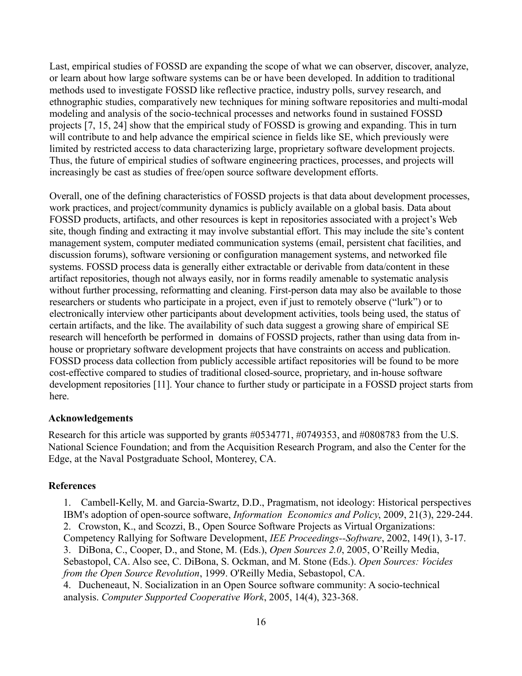Last, empirical studies of FOSSD are expanding the scope of what we can observer, discover, analyze, or learn about how large software systems can be or have been developed. In addition to traditional methods used to investigate FOSSD like reflective practice, industry polls, survey research, and ethnographic studies, comparatively new techniques for mining software repositories and multi-modal modeling and analysis of the socio-technical processes and networks found in sustained FOSSD projects [7, 15, 24] show that the empirical study of FOSSD is growing and expanding. This in turn will contribute to and help advance the empirical science in fields like SE, which previously were limited by restricted access to data characterizing large, proprietary software development projects. Thus, the future of empirical studies of software engineering practices, processes, and projects will increasingly be cast as studies of free/open source software development efforts.

Overall, one of the defining characteristics of FOSSD projects is that data about development processes, work practices, and project/community dynamics is publicly available on a global basis. Data about FOSSD products, artifacts, and other resources is kept in repositories associated with a project's Web site, though finding and extracting it may involve substantial effort. This may include the site's content management system, computer mediated communication systems (email, persistent chat facilities, and discussion forums), software versioning or configuration management systems, and networked file systems. FOSSD process data is generally either extractable or derivable from data/content in these artifact repositories, though not always easily, nor in forms readily amenable to systematic analysis without further processing, reformatting and cleaning. First-person data may also be available to those researchers or students who participate in a project, even if just to remotely observe ("lurk") or to electronically interview other participants about development activities, tools being used, the status of certain artifacts, and the like. The availability of such data suggest a growing share of empirical SE research will henceforth be performed in domains of FOSSD projects, rather than using data from inhouse or proprietary software development projects that have constraints on access and publication. FOSSD process data collection from publicly accessible artifact repositories will be found to be more cost-effective compared to studies of traditional closed-source, proprietary, and in-house software development repositories [11]. Your chance to further study or participate in a FOSSD project starts from here.

#### **Acknowledgements**

Research for this article was supported by grants #0534771, #0749353, and #0808783 from the U.S. National Science Foundation; and from the Acquisition Research Program, and also the Center for the Edge, at the Naval Postgraduate School, Monterey, CA.

#### **References**

1. Cambell-Kelly, M. and Garcia-Swartz, D.D., Pragmatism, not ideology: Historical perspectives IBM's adoption of open-source software, *Information Economics and Policy*, 2009, 21(3), 229-244. 2. Crowston, K., and Scozzi, B., Open Source Software Projects as Virtual Organizations: Competency Rallying for Software Development, *IEE Proceedings--Software*, 2002, 149(1), 3-17. 3. DiBona, C., Cooper, D., and Stone, M. (Eds.), *Open Sources 2.0*, 2005, O'Reilly Media, Sebastopol, CA. Also see, C. DiBona, S. Ockman, and M. Stone (Eds.). *Open Sources: Vocides from the Open Source Revolution*, 1999. O'Reilly Media, Sebastopol, CA. 4. Ducheneaut, N. Socialization in an Open Source software community: A socio-technical

analysis. *Computer Supported Cooperative Work*, 2005, 14(4), 323-368.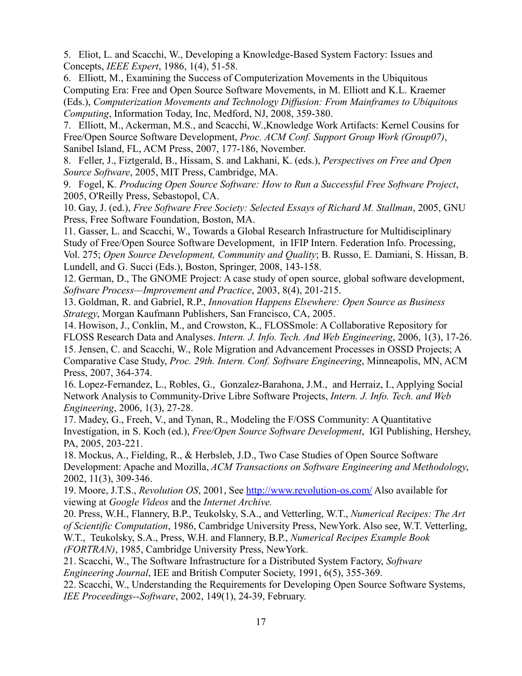5. Eliot, L. and Scacchi, W., Developing a Knowledge-Based System Factory: Issues and Concepts, *IEEE Expert*, 1986, 1(4), 51-58.

6. Elliott, M., Examining the Success of Computerization Movements in the Ubiquitous Computing Era: Free and Open Source Software Movements, in M. Elliott and K.L. Kraemer (Eds.), *Computerization Movements and Technology Diffusion: From Mainframes to Ubiquitous Computing*, Information Today, Inc, Medford, NJ, 2008, 359-380.

7. Elliott, M., Ackerman, M.S., and Scacchi, W.,Knowledge Work Artifacts: Kernel Cousins for Free/Open Source Software Development, *Proc. ACM Conf. Support Group Work (Group07)*, Sanibel Island, FL, ACM Press, 2007, 177-186, November.

8. Feller, J., Fiztgerald, B., Hissam, S. and Lakhani, K. (eds.), *Perspectives on Free and Open Source Software*, 2005, MIT Press, Cambridge, MA.

9. Fogel, K. *Producing Open Source Software: How to Run a Successful Free Software Project*, 2005, O'Reilly Press, Sebastopol, CA.

10. Gay, J. (ed.), *Free Software Free Society: Selected Essays of Richard M. Stallman*, 2005, GNU Press, Free Software Foundation, Boston, MA.

11. Gasser, L. and Scacchi, W., Towards a Global Research Infrastructure for Multidisciplinary Study of Free/Open Source Software Development, in IFIP Intern. Federation Info. Processing, Vol. 275; *Open Source Development, Community and Quality*; B. Russo, E. Damiani, S. Hissan, B. Lundell, and G. Succi (Eds.), Boston, Springer, 2008, 143-158.

12. German, D., The GNOME Project: A case study of open source, global software development, *Software Process—Improvement and Practice*, 2003, 8(4), 201-215.

13. Goldman, R. and Gabriel, R.P., *Innovation Happens Elsewhere: Open Source as Business Strategy*, Morgan Kaufmann Publishers, San Francisco, CA, 2005.

14. Howison, J., Conklin, M., and Crowston, K., FLOSSmole: A Collaborative Repository for FLOSS Research Data and Analyses. *Intern. J. Info. Tech. And Web Engineering*, 2006, 1(3), 17-26. 15. Jensen, C. and Scacchi, W., Role Migration and Advancement Processes in OSSD Projects; A Comparative Case Study, *Proc. 29th. Intern. Conf. Software Engineering*, Minneapolis, MN, ACM Press, 2007, 364-374.

16. Lopez-Fernandez, L., Robles, G., Gonzalez-Barahona, J.M., and Herraiz, I., Applying Social Network Analysis to Community-Drive Libre Software Projects, *Intern. J. Info. Tech. and Web Engineering*, 2006, 1(3), 27-28.

17. Madey, G., Freeh, V., and Tynan, R., Modeling the F/OSS Community: A Quantitative Investigation, in S. Koch (ed.), *Free/Open Source Software Development*, IGI Publishing, Hershey, PA, 2005, 203-221.

18. Mockus, A., Fielding, R., & Herbsleb, J.D., Two Case Studies of Open Source Software Development: Apache and Mozilla, *ACM Transactions on Software Engineering and Methodology*, 2002, 11(3), 309-346.

19. Moore, J.T.S., *Revolution OS*, 2001, See http://www.revolution-os.com/ Also available for viewing at *Google Videos* and the *Internet Archive.*

20. Press, W.H., Flannery, B.P., Teukolsky, S.A., and Vetterling, W.T., *Numerical Recipes: The Art of Scientific Computation*, 1986, Cambridge University Press, NewYork. Also see, W.T. Vetterling, W.T., Teukolsky, S.A., Press, W.H. and Flannery, B.P., *Numerical Recipes Example Book (FORTRAN)*, 1985, Cambridge University Press, NewYork.

21. Scacchi, W., The Software Infrastructure for a Distributed System Factory, *Software Engineering Journal*, IEE and British Computer Society, 1991, 6(5), 355-369.

22. Scacchi, W., Understanding the Requirements for Developing Open Source Software Systems, *IEE Proceedings--Software*, 2002, 149(1), 24-39, February.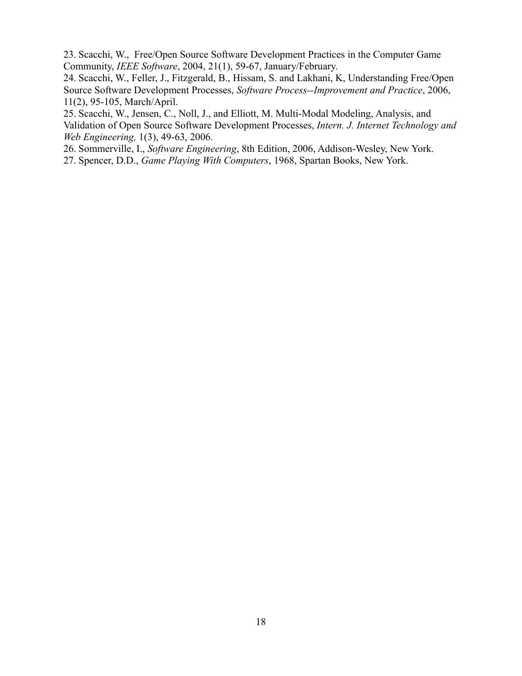23. Scacchi, W., Free/Open Source Software Development Practices in the Computer Game Community, *IEEE Software*, 2004, 21(1), 59-67, January/February.

24. Scacchi, W., Feller, J., Fitzgerald, B., Hissam, S. and Lakhani, K, Understanding Free/Open Source Software Development Processes, *Software Process--Improvement and Practice*, 2006, 11(2), 95-105, March/April.

25. Scacchi, W., Jensen, C., Noll, J., and Elliott, M. Multi-Modal Modeling, Analysis, and Validation of Open Source Software Development Processes, *Intern. J. Internet Technology and Web Engineering,* 1(3), 49-63, 2006.

26. Sommerville, I., *Software Engineering*, 8th Edition, 2006, Addison-Wesley, New York.

27. Spencer, D.D., *Game Playing With Computers*, 1968, Spartan Books, New York.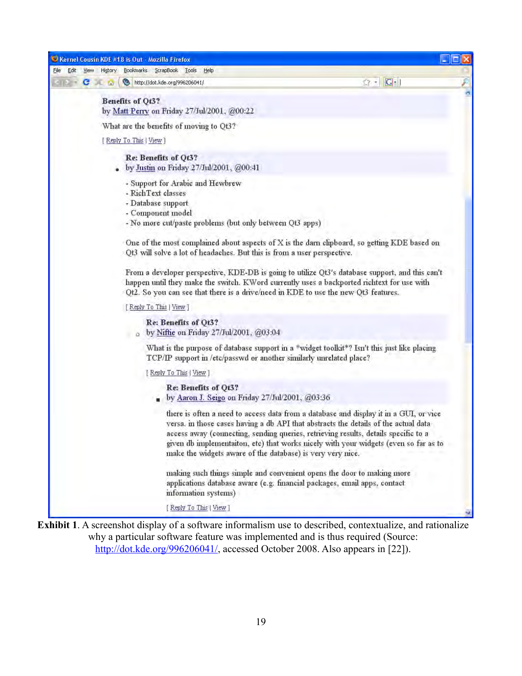| Kernel Cousin KDE #18 is Out - Mozilla Firefox                                                                                                                                                                                                                                      |                                                                                                                                                                               |
|-------------------------------------------------------------------------------------------------------------------------------------------------------------------------------------------------------------------------------------------------------------------------------------|-------------------------------------------------------------------------------------------------------------------------------------------------------------------------------|
| Edit<br>View History Bookmarks ScrapBook<br>File<br>Tools<br>Help                                                                                                                                                                                                                   |                                                                                                                                                                               |
| the http://dot.kde.org/996206041/                                                                                                                                                                                                                                                   | ☆ + C+)                                                                                                                                                                       |
| <b>Benefits of Qt3?</b><br>by Matt Perry on Friday 27/Jul/2001, @00:22                                                                                                                                                                                                              |                                                                                                                                                                               |
| What are the benefits of moving to Qt3?                                                                                                                                                                                                                                             |                                                                                                                                                                               |
| [ Reply To This   View ]                                                                                                                                                                                                                                                            |                                                                                                                                                                               |
| <b>Re: Benefits of Ot3?</b><br>by Justin on Friday 27/Jul/2001, @00:41                                                                                                                                                                                                              |                                                                                                                                                                               |
| - Support for Arabic and Hewbrew<br>- RichText classes<br>- Database support<br>- Component model<br>- No more cut/paste problems (but only between Qt3 apps)                                                                                                                       |                                                                                                                                                                               |
| One of the most complained about aspects of X is the darn clipboard, so getting KDE based on<br>Qt3 will solve a lot of headaches. But this is from a user perspective.                                                                                                             |                                                                                                                                                                               |
| From a developer perspective, KDE-DB is going to utilize Qt3's database support, and this can't<br>happen until they make the switch. KWord currently uses a backported richtext for use with<br>Qt2. So you can see that there is a drive/need in KDE to use the new Qt3 features. |                                                                                                                                                                               |
| [ Reply To This   View ]                                                                                                                                                                                                                                                            |                                                                                                                                                                               |
| Re: Benefits of Qt3?<br>by Niftie on Friday 27/Jul/2001, @03:04<br>$\alpha$                                                                                                                                                                                                         |                                                                                                                                                                               |
| What is the purpose of database support in a *widget toolkit*? Isn't this just like placing<br>TCP/IP support in /etc/passwd or another similarly unrelated place?                                                                                                                  |                                                                                                                                                                               |
| [ Reply To This   View ]                                                                                                                                                                                                                                                            |                                                                                                                                                                               |
| Re: Benefits of Qt3?<br>by Aaron J. Seigo on Friday 27/Jul/2001, @03:36                                                                                                                                                                                                             |                                                                                                                                                                               |
| versa, in those cases having a db API that abstracts the details of the actual data<br>access away (connecting, sending queries, retrieving results, details specific to a<br>make the widgets aware of the database) is very very nice.                                            | there is often a need to access data from a database and display it in a GUI, or vice<br>given db implementaiton, etc) that works nicely with your widgets (even so far as to |
| making such things simple and convenient opens the door to making more<br>applications database aware (e.g. financial packages, email apps, contact<br>information systems)                                                                                                         |                                                                                                                                                                               |
| [ Reply To This   View ]                                                                                                                                                                                                                                                            |                                                                                                                                                                               |

**Exhibit 1**. A screenshot display of a software informalism use to described, contextualize, and rationalize why a particular software feature was implemented and is thus required (Source: http://dot.kde.org/996206041/, accessed October 2008. Also appears in [22]).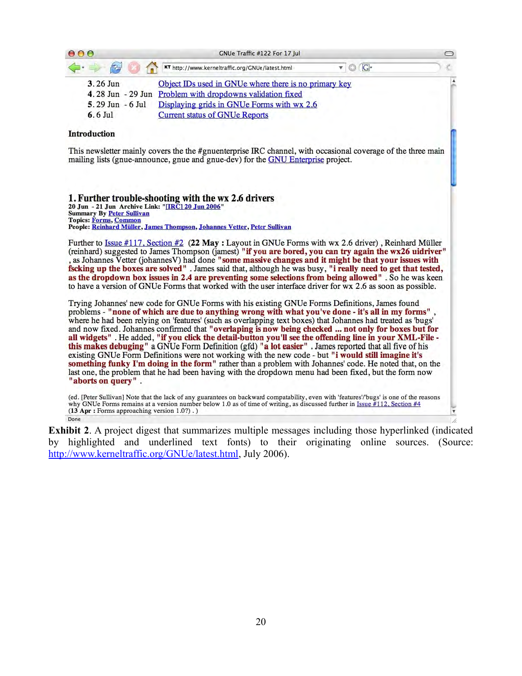

#### **Introduction**

This newsletter mainly covers the the #gnuenterprise IRC channel, with occasional coverage of the three main mailing lists (gnue-announce, gnue and gnue-dev) for the GNU Enterprise project.

1. Further trouble-shooting with the wx 2.6 drivers  $20 \text{ Jun } -21 \text{ Jun }$  Archive Link: "[IRC]  $20 \text{ Jun } 2006$ " **Summary By Peter Sullivan** Topics: Forms, Common People: Reinhard Müller, James Thompson, Johannes Vetter, Peter Sullivan

Further to Issue #117, Section #2 (22 May : Layout in GNUe Forms with wx 2.6 driver), Reinhard Müller (reinhard) suggested to James Thompson (jamest) "if you are bored, you can try again the wx26 uidriver" , as Johannes Vetter (johannesV) had done "some massive changes and it might be that your issues with fscking up the boxes are solved". James said that, although he was busy, "i really need to get that tested, as the dropdown box issues in 2.4 are preventing some selections from being allowed". So he was keen to have a version of GNUe Forms that worked with the user interface driver for wx 2.6 as soon as possible.

Trying Johannes' new code for GNUe Forms with his existing GNUe Forms Definitions, James found problems - "none of which are due to anything wrong with what you've done - it's all in my forms" where he had been relying on 'features' (such as overlapping text boxes) that Johannes had treated as 'bugs' and now fixed. Johannes confirmed that "overlapping is now being checked ... not only for boxes but for<br>all widgets". He added, "if you click the detail-button you'll see the offending line in your XML-File-<br>this makes deb something funky I'm doing in the form" rather than a problem with Johannes' code. He noted that, on the last one, the problem that he had been having with the dropdown menu had been fixed, but the form now "aborts on query".

(ed. [Peter Sullivan] Note that the lack of any guarantees on backward compatability, even with 'features'/'bugs' is one of the reasons why GNUe Forms remains at a version number below 1.0 as of time of writing, as discussed further in Issue #112, Section #4 (13 Apr : Forms approaching version 1.0?).) Done

**Exhibit 2**. A project digest that summarizes multiple messages including those hyperlinked (indicated by highlighted and underlined text fonts) to their originating online sources. (Source: http://www.kerneltraffic.org/GNUe/latest.html, July 2006).